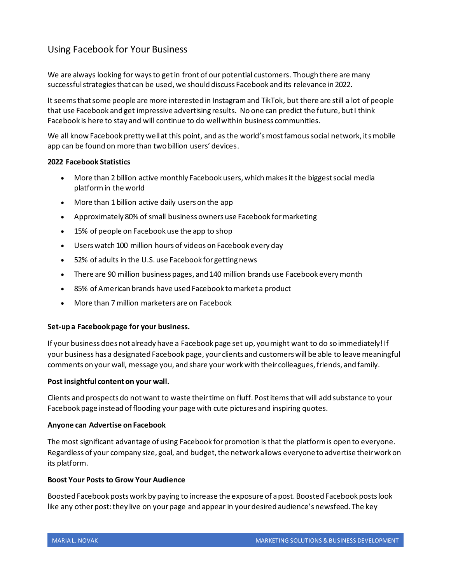# Using Facebook for Your Business

We are always looking for ways to get in front of our potential customers. Though there are many successful strategies that can be used, we should discuss Facebook and its relevance in 2022.

It seemsthat some people are more interested in Instagram and TikTok, but there are still a lot of people that use Facebook and get impressive advertising results. No one can predict the future, but I think Facebook is here to stay and will continue to do well within business communities.

We all know Facebook pretty well at this point, and as the world's most famous social network, its mobile app can be found on more than two billion users' devices.

## **2022 Facebook Statistics**

- More than 2 billion active monthly Facebook users, which makes it the biggest social media platform in the world
- More than 1 billion active daily users on the app
- Approximately 80% of small business owners use Facebook for marketing
- 15% of people on Facebook use the app to shop
- Users watch 100 million hours of videos on Facebook every day
- 52% of adults in the U.S. use Facebook for getting news
- There are 90 million business pages, and 140 million brands use Facebook every month
- 85% of American brands have used Facebook to market a product
- More than 7 million marketers are on Facebook

## **Set-up a Facebook page for your business.**

If your business does not already have a Facebook page set up, you might want to do so immediately! If your business has a designated Facebook page, your clients and customers will be able to leave meaningful comments on your wall, message you, and share your work with their colleagues, friends, and family.

## **Post insightful content on your wall.**

Clients and prospects do not want to waste their time on fluff. Post items that will add substance to your Facebook page instead of flooding your page with cute pictures and inspiring quotes.

#### **Anyone can Advertise on Facebook**

The most significant advantage of using Facebook for promotion is that the platform is open to everyone. Regardless of your company size, goal, and budget, the network allows everyoneto advertise their work on its platform.

#### **Boost Your Posts to Grow Your Audience**

Boosted Facebook posts work by paying to increase the exposure of a post. Boosted Facebook posts look like any other post: they live on your page and appear in your desired audience's newsfeed. The key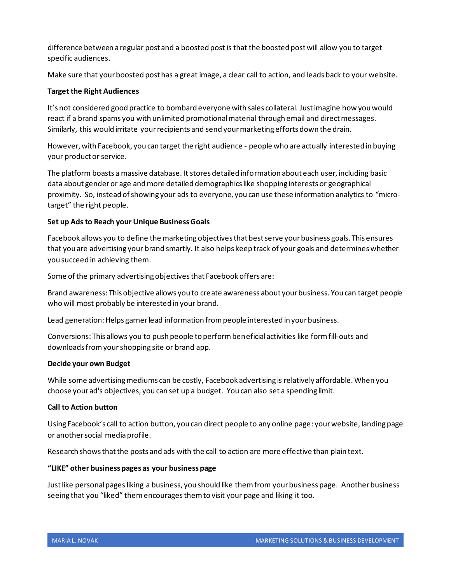difference between a regular post and a boosted post is that the boosted post will allow you to target specific audiences.

Make sure that your boosted post has a great image, a clear call to action, and leads back to your website.

# **Target the Right Audiences**

It's not considered good practice to bombard everyone with sales collateral. Just imagine how you would react if a brand spams you with unlimited promotional material through email and direct messages. Similarly, this would irritate your recipients and send yourmarketing efforts down the drain.

However, with Facebook, you can target the right audience - people who are actually interested in buying your product or service.

The platform boasts a massive database. It stores detailed information about each user, including basic data about gender or age and more detailed demographics like shopping interests or geographical proximity. So, instead of showing your ads to everyone, you can use these information analytics to "microtarget" the right people.

## **Set up Ads to Reach your Unique Business Goals**

Facebook allows you to define the marketing objectives that best serve your business goals. This ensures that you are advertising your brand smartly. It also helps keep track of your goals and determines whether you succeed in achieving them.

Some of the primary advertising objectives that Facebook offers are:

Brand awareness: This objective allows you to create awareness about your business. You can target people who will most probably be interested in your brand.

Lead generation: Helps garner lead information from people interested in your business.

Conversions: This allows you to push people to perform beneficial activities like form fill-outs and downloads from your shopping site or brand app.

## **Decide your own Budget**

While some advertising mediums can be costly, Facebook advertising is relatively affordable. When you choose your ad's objectives, you can set up a budget. You can also set a spending limit.

## **Call to Action button**

Using Facebook's call to action button, you can direct people to any online page: your website, landing page or another social media profile.

Research shows that the posts and ads with the call to action are more effective than plain text.

## **"LIKE" other business pages as your business page**

Just like personal pagesliking a business, you should like them from your business page. Another business seeing that you "liked" themencourages them to visit your page and liking it too.